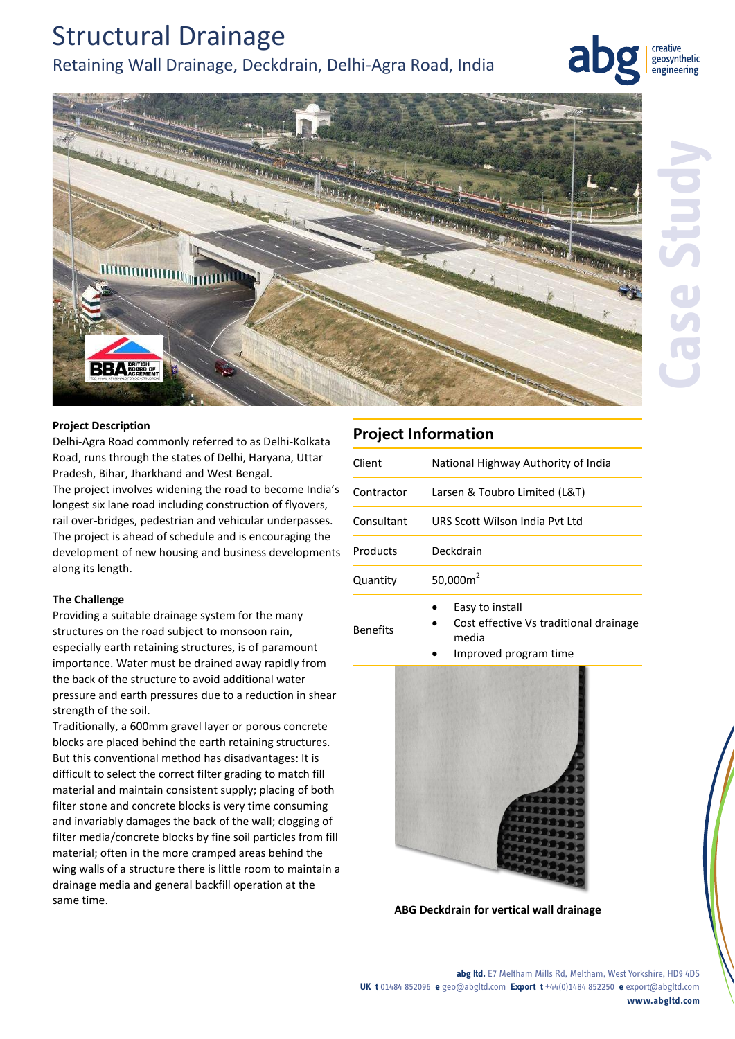# Structural Drainage Retaining Wall Drainage, Deckdrain, Delhi-Agra Road, India

creative geosynthetic engineering



### **Project Description**

Delhi-Agra Road commonly referred to as Delhi-Kolkata Road, runs through the states of Delhi, Haryana, Uttar Pradesh, Bihar, Jharkhand and West Bengal. The project involves widening the road to become India's

longest six lane road including construction of flyovers, rail over-bridges, pedestrian and vehicular underpasses. The project is ahead of schedule and is encouraging the development of new housing and business developments along its length.

## **The Challenge**

Providing a suitable drainage system for the many structures on the road subject to monsoon rain, especially earth retaining structures, is of paramount importance. Water must be drained away rapidly from the back of the structure to avoid additional water pressure and earth pressures due to a reduction in shear strength of the soil.

Traditionally, a 600mm gravel layer or porous concrete blocks are placed behind the earth retaining structures. But this conventional method has disadvantages: It is difficult to select the correct filter grading to match fill material and maintain consistent supply; placing of both filter stone and concrete blocks is very time consuming and invariably damages the back of the wall; clogging of filter media/concrete blocks by fine soil particles from fill material; often in the more cramped areas behind the wing walls of a structure there is little room to maintain a drainage media and general backfill operation at the same time.

| <b>Project Information</b> |                                     |
|----------------------------|-------------------------------------|
| Client                     | National Highway Authority of India |
| Contractor                 | Larsen & Toubro Limited (L&T)       |
| Consultant                 | URS Scott Wilson India Pyt Ltd      |
| Products                   | Deckdrain                           |
| Quantity                   | 50,000 $m2$                         |
|                            | Fasy to install                     |

Benefits

• Easy to install

 Cost effective Vs traditional drainage media

Improved program time



**ABG Deckdrain for vertical wall drainage**